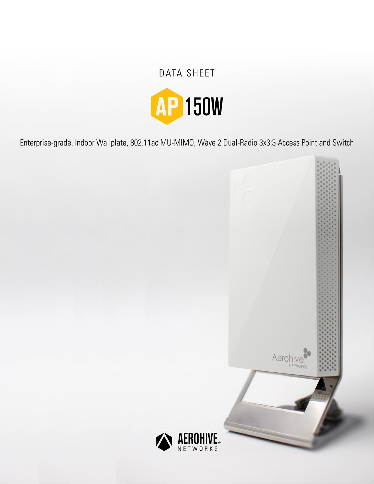# DATA SHEET



Enterprise-grade, Indoor Wallplate, 802.11ac MU-MIMO, Wave 2 Dual-Radio 3x3:3 Access Point and Switch

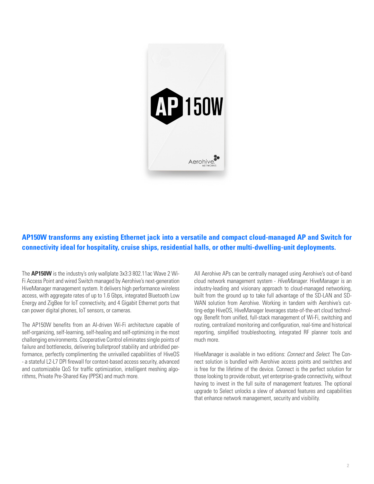

# **AP150W transforms any existing Ethernet jack into a versatile and compact cloud-managed AP and Switch for connectivity ideal for hospitality, cruise ships, residential halls, or other multi-dwelling-unit deployments.**

The **AP150W** is the industry's only wallplate 3x3:3 802.11ac Wave 2 Wi-Fi Access Point and wired Switch managed by Aerohive's next-generation HiveManager management system. It delivers high performance wireless access, with aggregate rates of up to 1.6 Gbps, integrated Bluetooth Low Energy and ZigBee for IoT connectivity, and 4 Gigabit Ethernet ports that can power digital phones, IoT sensors, or cameras.

The AP150W benefits from an AI-driven Wi-Fi architecture capable of self-organizing, self-learning, self-healing and self-optimizing in the most challenging environments. Cooperative Control eliminates single points of failure and bottlenecks, delivering bulletproof stability and unbridled performance, perfectly complimenting the unrivalled capabilities of HiveOS - a stateful L2-L7 DPI firewall for context-based access security, advanced and customizable QoS for traffic optimization, intelligent meshing algorithms, Private Pre-Shared Key (PPSK) and much more.

All Aerohive APs can be centrally managed using Aerohive's out-of-band cloud network management system - *HiveManager*. HiveManager is an industry-leading and visionary approach to cloud-managed networking, built from the ground up to take full advantage of the SD-LAN and SD-WAN solution from Aerohive. Working in tandem with Aerohive's cutting-edge HiveOS, HiveManager leverages state-of-the-art cloud technology. Benefit from unified, full-stack management of Wi-Fi, switching and routing, centralized monitoring and configuration, real-time and historical reporting, simplified troubleshooting, integrated RF planner tools and much more.

HiveManager is available in two editions: *Connect* and *Select*. The Connect solution is bundled with Aerohive access points and switches and is free for the lifetime of the device. Connect is the perfect solution for those looking to provide robust, yet enterprise-grade connectivity, without having to invest in the full suite of management features. The optional upgrade to Select unlocks a slew of advanced features and capabilities that enhance network management, security and visibility.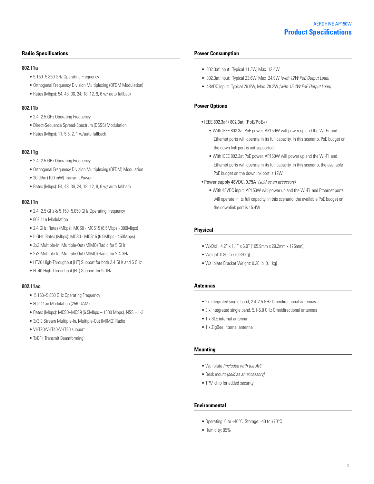#### **Radio Specifications**

#### **802.11a**

- 5.150–5.850 GHz Operating Frequency
- Orthogonal Frequency Division Multiplexing (OFDM Modulation)
- Rates (Mbps): 54, 48, 36, 24, 18, 12, 9, 6 w/ auto fallback

#### **802.11b**

- 2.4–2.5 GHz Operating Frequency
- Direct-Sequence Spread-Spectrum (DSSS) Modulation
- Rates (Mbps): 11, 5.5, 2, 1 w/auto fallback

#### **802.11g**

- 2.4–2.5 GHz Operating Frequency
- Orthogonal Frequency Division Multiplexing (OFDM) Modulation
- 20 dBm (100 mW) Transmit Power
- Rates (Mbps): 54, 48, 36, 24, 18, 12, 9, 6 w/ auto fallback

#### **802.11n**

- 2.4–2.5 GHz & 5.150–5.850 GHz Operating Frequency
- 802.11n Modulation
- 2.4 GHz: Rates (Mbps): MCS0 MCS15 (6.5Mbps 300Mbps)
- 5 GHz: Rates (Mbps): MCS0 MCS15 (6.5Mbps 450Mbps)
- 3x3 Multiple-In, Multiple-Out (MIMO) Radio for 5 GHz
- 2x2 Multiple-In, Multiple-Out (MIMO) Radio for 2.4 GHz
- HT20 High-Throughput (HT) Support for both 2.4 GHz and 5 GHz
- HT40 High-Throughput (HT) Support for 5 GHz

#### **802.11ac**

- 5.150–5.850 GHz Operating Frequency
- 802.11ac Modulation (256-QAM)
- $\bullet$  Rates (Mbps): MCS0-MCS9 (6.5Mbps 1300 Mbps), NSS = 1-3
- 3x3:3 Stream Multiple-In, Multiple-Out (MIMO) Radio
- VHT20/VHT40/VHT80 support
- TxBF ( Transmit Beamforming)

#### **Power Consumption**

- 802.3af Input: Typical 11.3W, Max 12.4W
- 802.3at Input: Typical 23.6W, Max 24.9W *(with 12W PoE Output Load)*
- 48VDC Input: Typical 26.9W, Max 28.2W *(with 15.4W PoE Output Load)*

#### **Power Options**

- IEEE 802.3af / 802.3at (PoE/PoE+)
	- With IEEE 802.3af PoE power, AP150W will power up and the Wi-Fi and Ethernet ports will operate in its full capacity. In this scenario, PoE budget on the down link port is not supported
	- With IEEE 802.3at PoE power, AP150W will power up and the Wi-Fi and Ethernet ports will operate in its full capacity. In this scenario, the available PoE budget on the downlink port is 12W.
- Power supply 48VDC, 0.75A *(sold as an accessory)*
	- With 48VDC input, AP150W will power up and the Wi-Fi and Ethernet ports will operate in its full capacity. In this scenario, the available PoE budget on the downlink port is 15.4W

#### **Physical**

- WxDxH: 4.2" x 1.1" x 6.9" (105.9mm x 29.2mm x 175mm)
- Weight: 0.86 lb / (0.39 kg)
- Wallplate Bracket Weight: 0.26 lb (0.1 kg)

#### **Antennas**

- 2x Integrated single band, 2.4-2.5 GHz Omnidirectional antennas
- 3 x Integrated single band, 5.1-5.8 GHz Omnidirectional antennas
- 1 x BLE internal antenna
- 1 x ZigBee internal antenna

#### **Mounting**

- Wallplate *(included with the AP)*
- Desk mount *(sold as an accessory)*
- TPM chip for added security

#### **Environmental**

- Operating: 0 to +40°C, Storage: -40 to +70°C
- Humidity: 95%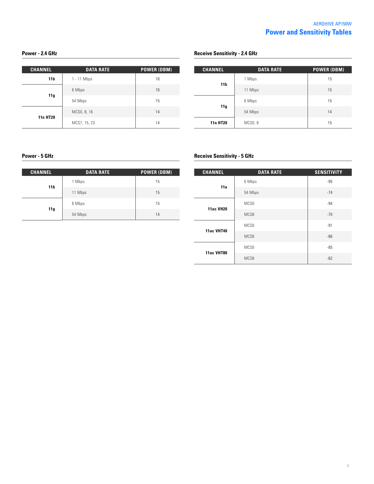#### **Power - 2.4 GHz**

| <b>CHANNEL</b>  | <b>DATA RATE</b> | <b>POWER (DBM)</b> |
|-----------------|------------------|--------------------|
| 11 b            | 1 - 11 Mbps      | 16                 |
| 11g             | 6 Mbps           | 16                 |
|                 | 54 Mbps          | 15                 |
| <b>11n HT20</b> | MCS0, 8, 16      | 14                 |
|                 | MCS7, 15, 23     | 14                 |

#### **Receive Sensitivity - 2.4 GHz**

| <b>CHANNEL</b>  | <b>DATA RATE</b> | <b>POWER (DBM)</b> |
|-----------------|------------------|--------------------|
| 11 <sub>b</sub> | 1 Mbps           | 15                 |
|                 | 11 Mbps          | 15                 |
|                 | 6 Mbps           | 15                 |
| 11g             | 54 Mbps          | 14                 |
| <b>11n HT20</b> | <b>MCSO, 8</b>   | 15                 |

### **Power - 5 GHz**

| <b>CHANNEL</b>  | <b>DATA RATE</b> | <b>POWER (DBM)</b> |
|-----------------|------------------|--------------------|
| 11 <sub>b</sub> | 1 Mbps           | 15                 |
|                 | 11 Mbps          | 15                 |
| 11g             | 6 Mbps           | 15                 |
|                 | 54 Mbps          | 14                 |

## **Receive Sensitivity - 5 GHz**

| <b>CHANNEL</b>    | <b>DATA RATE</b> | <b>SENSITIVITY</b> |
|-------------------|------------------|--------------------|
| 11a               | 6 Mbps           | $-95$              |
|                   | 54 Mbps          | $-74$              |
| <b>11ac VH20</b>  | MCS <sub>0</sub> | $-94$              |
|                   | MCS8             | $-70$              |
| <b>11ac VHT40</b> | MCS <sub>0</sub> | $-91$              |
|                   | MCS8             | $-66$              |
| 11ac VHT80        | MCS <sub>0</sub> | $-85$              |
|                   | MCS8             | $-62$              |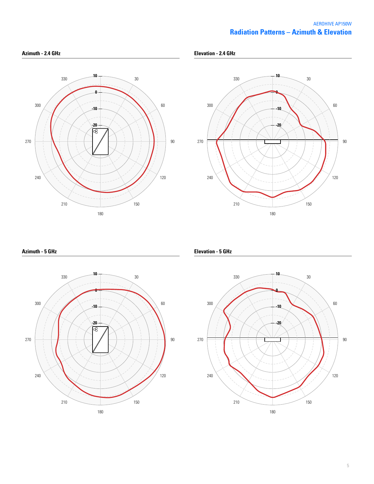## **Radiation Patterns – Azimuth & Elevation** AEROHIVE AP150W





**Azimuth - 5 GHz**



**Elevation - 5 GHz**

**Elevation - 2.4 GHz**